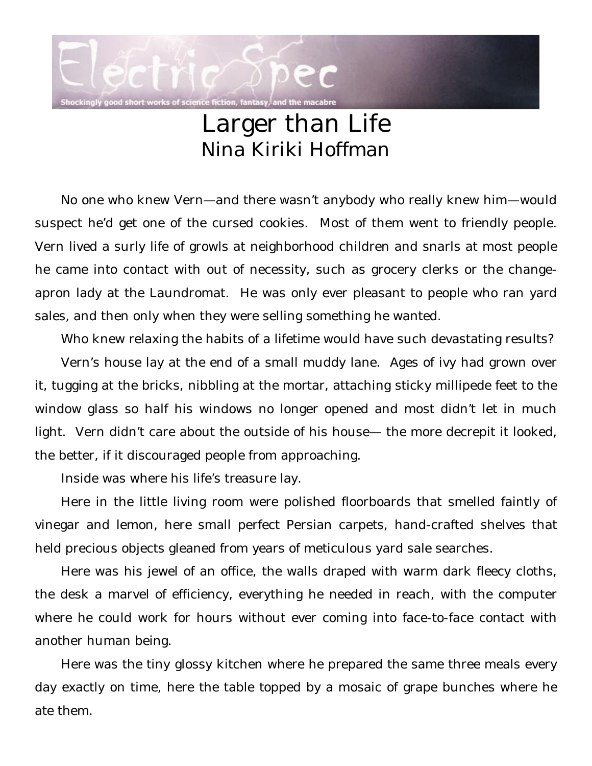

## Larger than Life Nina Kiriki Hoffman

No one who knew Vern—and there wasn't anybody who really knew him—would suspect he'd get one of the cursed cookies. Most of them went to friendly people. Vern lived a surly life of growls at neighborhood children and snarls at most people he came into contact with out of necessity, such as grocery clerks or the changeapron lady at the Laundromat. He was only ever pleasant to people who ran yard sales, and then only when they were selling something he wanted.

Who knew relaxing the habits of a lifetime would have such devastating results? Vern's house lay at the end of a small muddy lane. Ages of ivy had grown over it, tugging at the bricks, nibbling at the mortar, attaching sticky millipede feet to the window glass so half his windows no longer opened and most didn't let in much light. Vern didn't care about the outside of his house— the more decrepit it looked, the better, if it discouraged people from approaching.

Inside was where his life's treasure lay.

Here in the little living room were polished floorboards that smelled faintly of vinegar and lemon, here small perfect Persian carpets, hand-crafted shelves that held precious objects gleaned from years of meticulous yard sale searches.

Here was his jewel of an office, the walls draped with warm dark fleecy cloths, the desk a marvel of efficiency, everything he needed in reach, with the computer where he could work for hours without ever coming into face-to-face contact with another human being.

Here was the tiny glossy kitchen where he prepared the same three meals every day exactly on time, here the table topped by a mosaic of grape bunches where he ate them.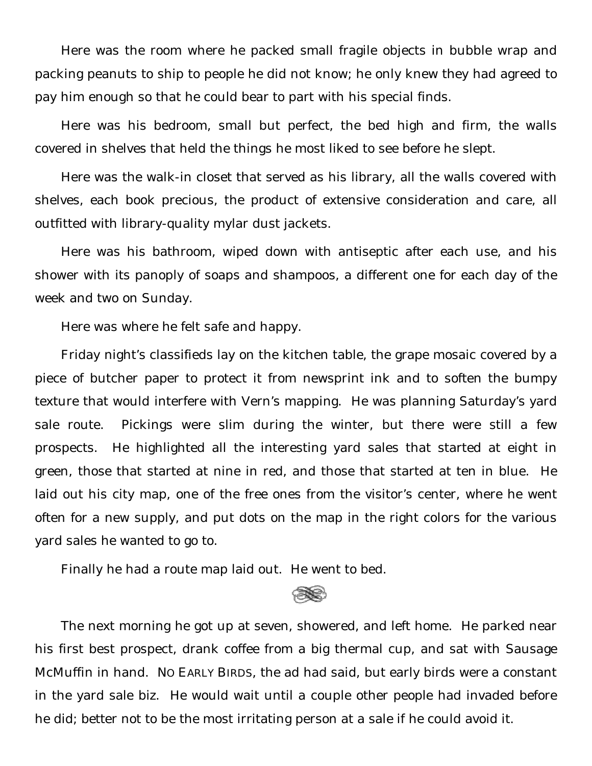Here was the room where he packed small fragile objects in bubble wrap and packing peanuts to ship to people he did not know; he only knew they had agreed to pay him enough so that he could bear to part with his special finds.

Here was his bedroom, small but perfect, the bed high and firm, the walls covered in shelves that held the things he most liked to see before he slept.

Here was the walk-in closet that served as his library, all the walls covered with shelves, each book precious, the product of extensive consideration and care, all outfitted with library-quality mylar dust jackets.

Here was his bathroom, wiped down with antiseptic after each use, and his shower with its panoply of soaps and shampoos, a different one for each day of the week and two on Sunday.

Here was where he felt safe and happy.

Friday night's classifieds lay on the kitchen table, the grape mosaic covered by a piece of butcher paper to protect it from newsprint ink and to soften the bumpy texture that would interfere with Vern's mapping. He was planning Saturday's yard sale route. Pickings were slim during the winter, but there were still a few prospects. He highlighted all the interesting yard sales that started at eight in green, those that started at nine in red, and those that started at ten in blue. He laid out his city map, one of the free ones from the visitor's center, where he went often for a new supply, and put dots on the map in the right colors for the various yard sales he wanted to go to.

Finally he had a route map laid out. He went to bed.

The next morning he got up at seven, showered, and left home. He parked near his first best prospect, drank coffee from a big thermal cup, and sat with Sausage McMuffin in hand. NO EARLY BIRDS, the ad had said, but early birds were a constant in the yard sale biz. He would wait until a couple other people had invaded before he did; better not to be the most irritating person at a sale if he could avoid it.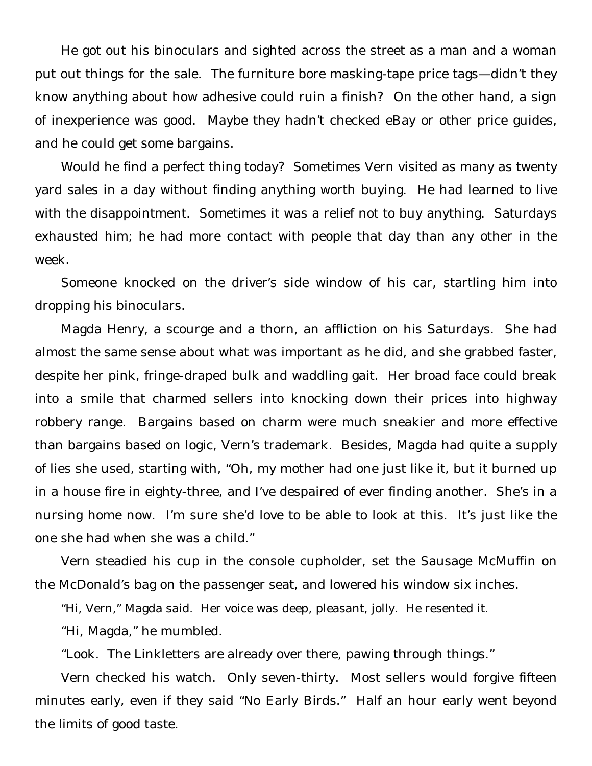He got out his binoculars and sighted across the street as a man and a woman put out things for the sale. The furniture bore masking-tape price tags—didn't they know anything about how adhesive could ruin a finish? On the other hand, a sign of inexperience was good. Maybe they hadn't checked eBay or other price guides, and he could get some bargains.

Would he find a perfect thing today? Sometimes Vern visited as many as twenty yard sales in a day without finding anything worth buying. He had learned to live with the disappointment. Sometimes it was a relief not to buy anything. Saturdays exhausted him; he had more contact with people that day than any other in the week.

Someone knocked on the driver's side window of his car, startling him into dropping his binoculars.

Magda Henry, a scourge and a thorn, an affliction on his Saturdays. She had almost the same sense about what was important as he did, and she grabbed faster, despite her pink, fringe-draped bulk and waddling gait. Her broad face could break into a smile that charmed sellers into knocking down their prices into highway robbery range. Bargains based on charm were much sneakier and more effective than bargains based on logic, Vern's trademark. Besides, Magda had quite a supply of lies she used, starting with, "Oh, my mother had one just like it, but it burned up in a house fire in eighty-three, and I've despaired of ever finding another. She's in a nursing home now. I'm sure she'd love to be able to look at this. It's just like the one she had when she was a child."

Vern steadied his cup in the console cupholder, set the Sausage McMuffin on the McDonald's bag on the passenger seat, and lowered his window six inches.

"Hi, Vern," Magda said. Her voice was deep, pleasant, jolly. He resented it.

"Hi, Magda," he mumbled.

"Look. The Linkletters are already over there, pawing through things."

Vern checked his watch. Only seven-thirty. Most sellers would forgive fifteen minutes early, even if they said "No Early Birds." Half an hour early went beyond the limits of good taste.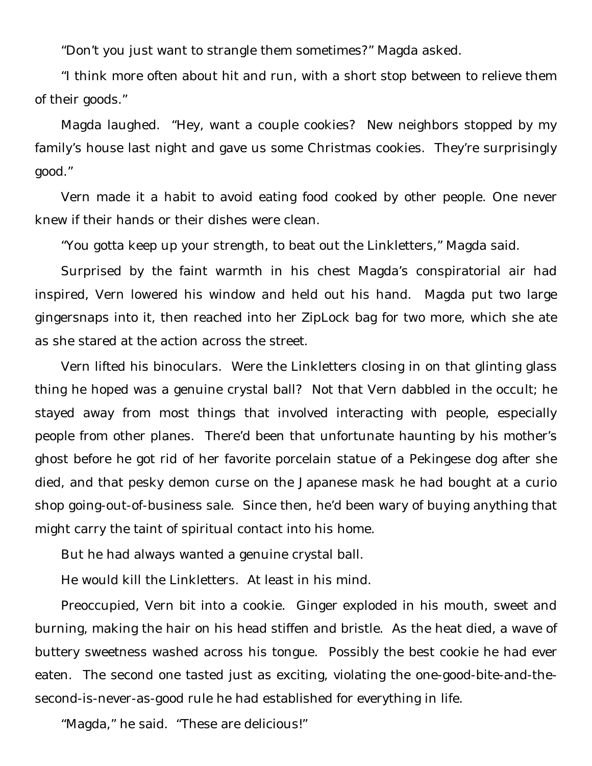"Don't you just want to strangle them sometimes?" Magda asked.

"I think more often about hit and run, with a short stop between to relieve them of their goods."

Magda laughed. "Hey, want a couple cookies? New neighbors stopped by my family's house last night and gave us some Christmas cookies. They're surprisingly good."

Vern made it a habit to avoid eating food cooked by other people. One never knew if their hands or their dishes were clean.

"You gotta keep up your strength, to beat out the Linkletters," Magda said.

Surprised by the faint warmth in his chest Magda's conspiratorial air had inspired, Vern lowered his window and held out his hand. Magda put two large gingersnaps into it, then reached into her ZipLock bag for two more, which she ate as she stared at the action across the street.

Vern lifted his binoculars. Were the Linkletters closing in on that glinting glass thing he hoped was a genuine crystal ball? Not that Vern dabbled in the occult; he stayed away from most things that involved interacting with people, especially people from other planes. There'd been that unfortunate haunting by his mother's ghost before he got rid of her favorite porcelain statue of a Pekingese dog after she died, and that pesky demon curse on the Japanese mask he had bought at a curio shop going-out-of-business sale. Since then, he'd been wary of buying anything that might carry the taint of spiritual contact into his home.

But he had always wanted a genuine crystal ball.

He would kill the Linkletters. At least in his mind.

Preoccupied, Vern bit into a cookie. Ginger exploded in his mouth, sweet and burning, making the hair on his head stiffen and bristle. As the heat died, a wave of buttery sweetness washed across his tongue. Possibly the best cookie he had ever eaten. The second one tasted just as exciting, violating the one-good-bite-and-thesecond-is-never-as-good rule he had established for everything in life.

"Magda," he said. "These are delicious!"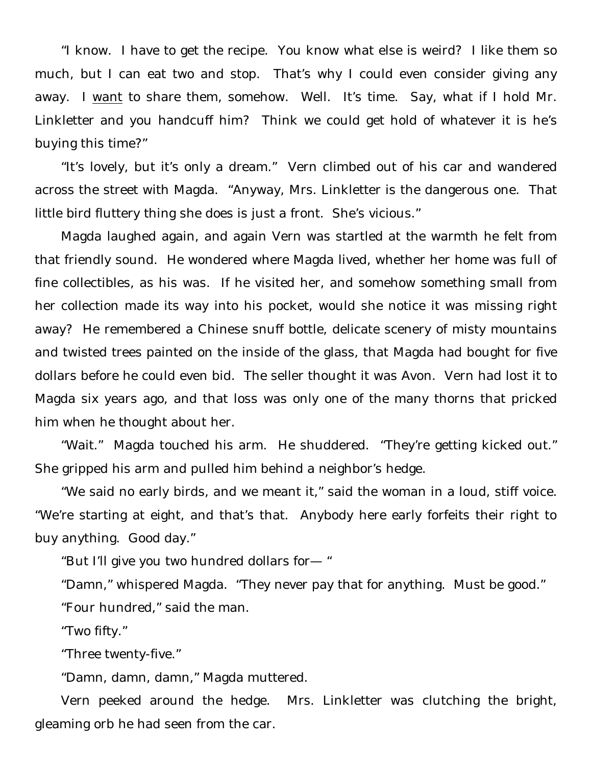"I know. I have to get the recipe. You know what else is weird? I like them so much, but I can eat two and stop. That's why I could even consider giving any away. I want to share them, somehow. Well. It's time. Say, what if I hold Mr. Linkletter and you handcuff him? Think we could get hold of whatever it is he's buying this time?"

"It's lovely, but it's only a dream." Vern climbed out of his car and wandered across the street with Magda. "Anyway, Mrs. Linkletter is the dangerous one. That little bird fluttery thing she does is just a front. She's vicious."

Magda laughed again, and again Vern was startled at the warmth he felt from that friendly sound. He wondered where Magda lived, whether her home was full of fine collectibles, as his was. If he visited her, and somehow something small from her collection made its way into his pocket, would she notice it was missing right away? He remembered a Chinese snuff bottle, delicate scenery of misty mountains and twisted trees painted on the inside of the glass, that Magda had bought for five dollars before he could even bid. The seller thought it was Avon. Vern had lost it to Magda six years ago, and that loss was only one of the many thorns that pricked him when he thought about her.

"Wait." Magda touched his arm. He shuddered. "They're getting kicked out." She gripped his arm and pulled him behind a neighbor's hedge.

"We said no early birds, and we meant it," said the woman in a loud, stiff voice. "We're starting at eight, and that's that. Anybody here early forfeits their right to buy anything. Good day."

"But I'll give you two hundred dollars for— "

"Damn," whispered Magda. "They never pay that for anything. Must be good."

"Four hundred," said the man.

"Two fifty."

"Three twenty-five."

"Damn, damn, damn," Magda muttered.

Vern peeked around the hedge. Mrs. Linkletter was clutching the bright, gleaming orb he had seen from the car.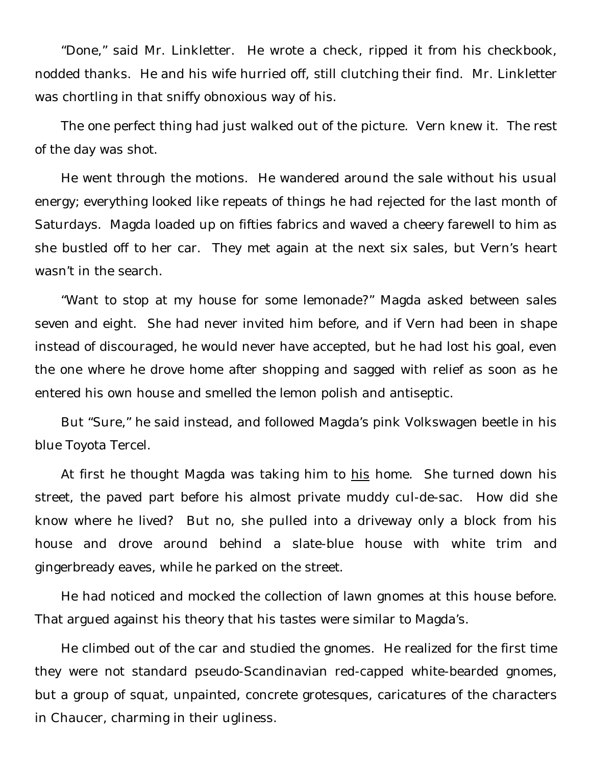"Done," said Mr. Linkletter. He wrote a check, ripped it from his checkbook, nodded thanks. He and his wife hurried off, still clutching their find. Mr. Linkletter was chortling in that sniffy obnoxious way of his.

The one perfect thing had just walked out of the picture. Vern knew it. The rest of the day was shot.

He went through the motions. He wandered around the sale without his usual energy; everything looked like repeats of things he had rejected for the last month of Saturdays. Magda loaded up on fifties fabrics and waved a cheery farewell to him as she bustled off to her car. They met again at the next six sales, but Vern's heart wasn't in the search.

"Want to stop at my house for some lemonade?" Magda asked between sales seven and eight. She had never invited him before, and if Vern had been in shape instead of discouraged, he would never have accepted, but he had lost his goal, even the one where he drove home after shopping and sagged with relief as soon as he entered his own house and smelled the lemon polish and antiseptic.

But "Sure," he said instead, and followed Magda's pink Volkswagen beetle in his blue Toyota Tercel.

At first he thought Magda was taking him to his home. She turned down his street, the paved part before his almost private muddy cul-de-sac. How did she know where he lived? But no, she pulled into a driveway only a block from his house and drove around behind a slate-blue house with white trim and gingerbready eaves, while he parked on the street.

He had noticed and mocked the collection of lawn gnomes at this house before. That argued against his theory that his tastes were similar to Magda's.

He climbed out of the car and studied the gnomes. He realized for the first time they were not standard pseudo-Scandinavian red-capped white-bearded gnomes, but a group of squat, unpainted, concrete grotesques, caricatures of the characters in Chaucer, charming in their ugliness.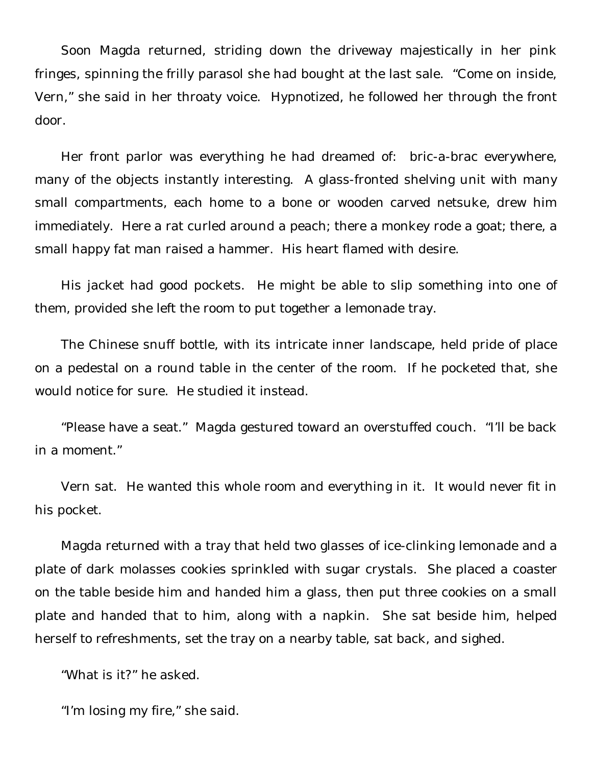Soon Magda returned, striding down the driveway majestically in her pink fringes, spinning the frilly parasol she had bought at the last sale. "Come on inside, Vern," she said in her throaty voice. Hypnotized, he followed her through the front door.

Her front parlor was everything he had dreamed of: bric-a-brac everywhere, many of the objects instantly interesting. A glass-fronted shelving unit with many small compartments, each home to a bone or wooden carved netsuke, drew him immediately. Here a rat curled around a peach; there a monkey rode a goat; there, a small happy fat man raised a hammer. His heart flamed with desire.

His jacket had good pockets. He might be able to slip something into one of them, provided she left the room to put together a lemonade tray.

The Chinese snuff bottle, with its intricate inner landscape, held pride of place on a pedestal on a round table in the center of the room. If he pocketed that, she would notice for sure. He studied it instead.

"Please have a seat." Magda gestured toward an overstuffed couch. "I'll be back in a moment."

Vern sat. He wanted this whole room and everything in it. It would never fit in his pocket.

Magda returned with a tray that held two glasses of ice-clinking lemonade and a plate of dark molasses cookies sprinkled with sugar crystals. She placed a coaster on the table beside him and handed him a glass, then put three cookies on a small plate and handed that to him, along with a napkin. She sat beside him, helped herself to refreshments, set the tray on a nearby table, sat back, and sighed.

"What is it?" he asked.

"I'm losing my fire," she said.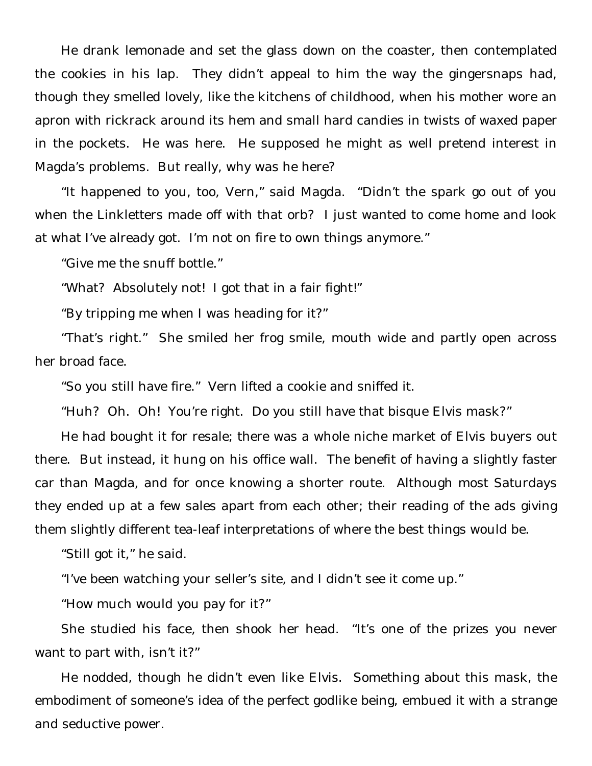He drank lemonade and set the glass down on the coaster, then contemplated the cookies in his lap. They didn't appeal to him the way the gingersnaps had, though they smelled lovely, like the kitchens of childhood, when his mother wore an apron with rickrack around its hem and small hard candies in twists of waxed paper in the pockets. He was here. He supposed he might as well pretend interest in Magda's problems. But really, why was he here?

"It happened to you, too, Vern," said Magda. "Didn't the spark go out of you when the Linkletters made off with that orb? I just wanted to come home and look at what I've already got. I'm not on fire to own things anymore."

"Give me the snuff bottle."

"What? Absolutely not! I got that in a fair fight!"

"By tripping me when I was heading for it?"

"That's right." She smiled her frog smile, mouth wide and partly open across her broad face.

"So you still have fire." Vern lifted a cookie and sniffed it.

"Huh? Oh. Oh! You're right. Do you still have that bisque Elvis mask?"

He had bought it for resale; there was a whole niche market of Elvis buyers out there. But instead, it hung on his office wall. The benefit of having a slightly faster car than Magda, and for once knowing a shorter route. Although most Saturdays they ended up at a few sales apart from each other; their reading of the ads giving them slightly different tea-leaf interpretations of where the best things would be.

"Still got it," he said.

"I've been watching your seller's site, and I didn't see it come up."

"How much would you pay for it?"

She studied his face, then shook her head. "It's one of the prizes you never want to part with, isn't it?"

He nodded, though he didn't even like Elvis. Something about this mask, the embodiment of someone's idea of the perfect godlike being, embued it with a strange and seductive power.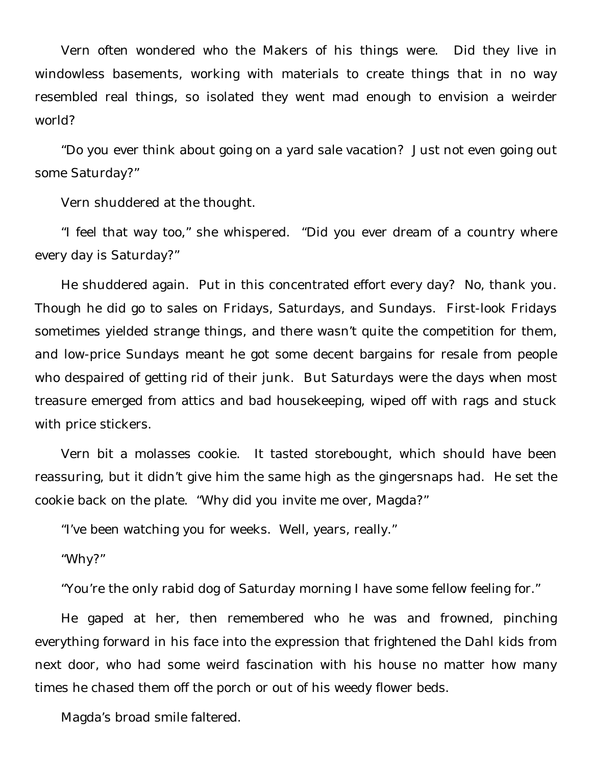Vern often wondered who the Makers of his things were. Did they live in windowless basements, working with materials to create things that in no way resembled real things, so isolated they went mad enough to envision a weirder world?

"Do you ever think about going on a yard sale vacation? Just not even going out some Saturday?"

Vern shuddered at the thought.

"I feel that way too," she whispered. "Did you ever dream of a country where every day is Saturday?"

He shuddered again. Put in this concentrated effort every day? No, thank you. Though he did go to sales on Fridays, Saturdays, and Sundays. First-look Fridays sometimes yielded strange things, and there wasn't quite the competition for them, and low-price Sundays meant he got some decent bargains for resale from people who despaired of getting rid of their junk. But Saturdays were the days when most treasure emerged from attics and bad housekeeping, wiped off with rags and stuck with price stickers.

Vern bit a molasses cookie. It tasted storebought, which should have been reassuring, but it didn't give him the same high as the gingersnaps had. He set the cookie back on the plate. "Why did you invite me over, Magda?"

"I've been watching you for weeks. Well, years, really."

"Why?"

"You're the only rabid dog of Saturday morning I have some fellow feeling for."

He gaped at her, then remembered who he was and frowned, pinching everything forward in his face into the expression that frightened the Dahl kids from next door, who had some weird fascination with his house no matter how many times he chased them off the porch or out of his weedy flower beds.

Magda's broad smile faltered.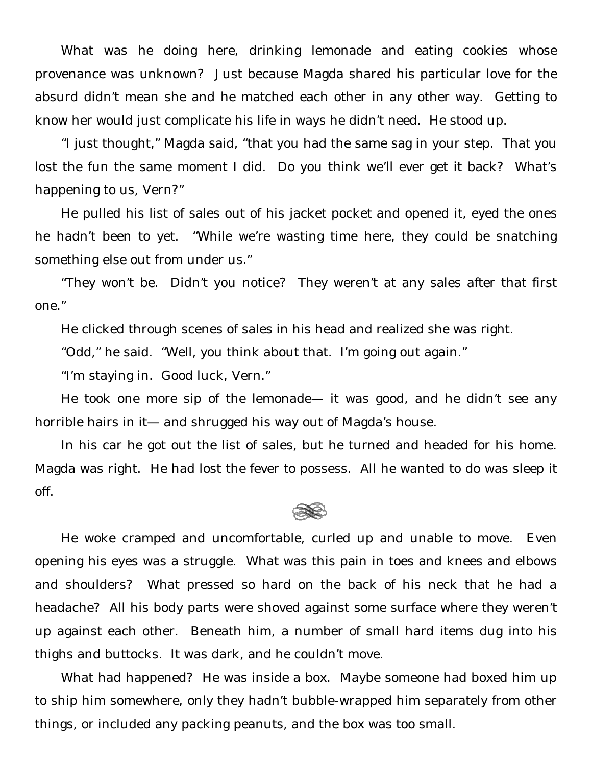What was he doing here, drinking lemonade and eating cookies whose provenance was unknown? Just because Magda shared his particular love for the absurd didn't mean she and he matched each other in any other way. Getting to know her would just complicate his life in ways he didn't need. He stood up.

"I just thought," Magda said, "that you had the same sag in your step. That you lost the fun the same moment I did. Do you think we'll ever get it back? What's happening to us, Vern?"

He pulled his list of sales out of his jacket pocket and opened it, eyed the ones he hadn't been to yet. "While we're wasting time here, they could be snatching something else out from under us."

"They won't be. Didn't you notice? They weren't at any sales after that first one."

He clicked through scenes of sales in his head and realized she was right.

"Odd," he said. "Well, you think about that. I'm going out again."

"I'm staying in. Good luck, Vern."

He took one more sip of the lemonade— it was good, and he didn't see any horrible hairs in it— and shrugged his way out of Magda's house.

In his car he got out the list of sales, but he turned and headed for his home. Magda was right. He had lost the fever to possess. All he wanted to do was sleep it off.



He woke cramped and uncomfortable, curled up and unable to move. Even opening his eyes was a struggle. What was this pain in toes and knees and elbows and shoulders? What pressed so hard on the back of his neck that he had a headache? All his body parts were shoved against some surface where they weren't up against each other. Beneath him, a number of small hard items dug into his thighs and buttocks. It was dark, and he couldn't move.

What had happened? He was inside a box. Maybe someone had boxed him up to ship him somewhere, only they hadn't bubble-wrapped him separately from other things, or included any packing peanuts, and the box was too small.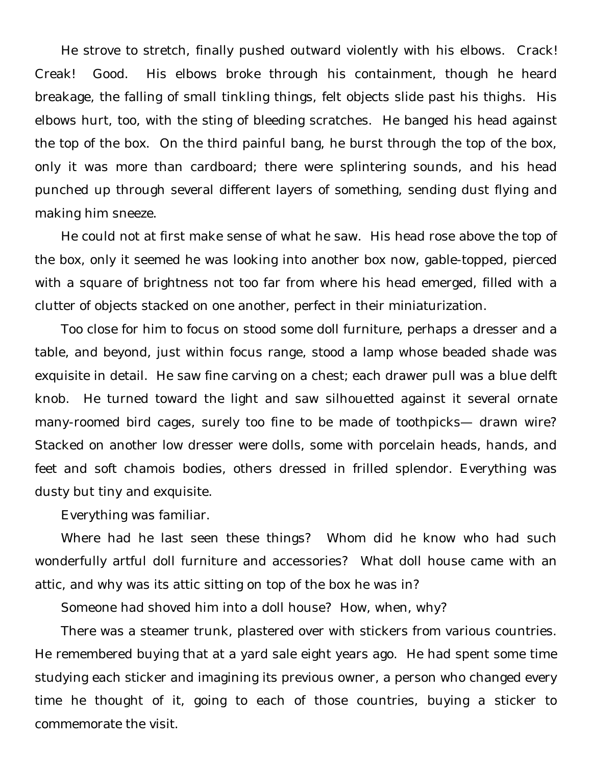He strove to stretch, finally pushed outward violently with his elbows. Crack! Creak! Good. His elbows broke through his containment, though he heard breakage, the falling of small tinkling things, felt objects slide past his thighs. His elbows hurt, too, with the sting of bleeding scratches. He banged his head against the top of the box. On the third painful bang, he burst through the top of the box, only it was more than cardboard; there were splintering sounds, and his head punched up through several different layers of something, sending dust flying and making him sneeze.

He could not at first make sense of what he saw. His head rose above the top of the box, only it seemed he was looking into another box now, gable-topped, pierced with a square of brightness not too far from where his head emerged, filled with a clutter of objects stacked on one another, perfect in their miniaturization.

Too close for him to focus on stood some doll furniture, perhaps a dresser and a table, and beyond, just within focus range, stood a lamp whose beaded shade was exquisite in detail. He saw fine carving on a chest; each drawer pull was a blue delft knob. He turned toward the light and saw silhouetted against it several ornate many-roomed bird cages, surely too fine to be made of toothpicks— drawn wire? Stacked on another low dresser were dolls, some with porcelain heads, hands, and feet and soft chamois bodies, others dressed in frilled splendor. Everything was dusty but tiny and exquisite.

Everything was familiar.

Where had he last seen these things? Whom did he know who had such wonderfully artful doll furniture and accessories? What doll house came with an attic, and why was its attic sitting on top of the box he was in?

Someone had shoved him into a doll house? How, when, why?

There was a steamer trunk, plastered over with stickers from various countries. He remembered buying that at a yard sale eight years ago. He had spent some time studying each sticker and imagining its previous owner, a person who changed every time he thought of it, going to each of those countries, buying a sticker to commemorate the visit.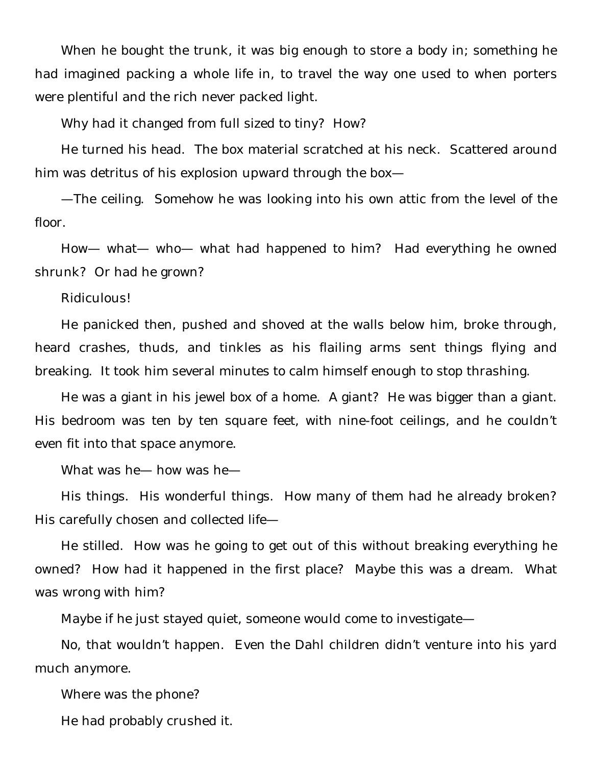When he bought the trunk, it was big enough to store a body in; something he had imagined packing a whole life in, to travel the way one used to when porters were plentiful and the rich never packed light.

Why had it changed from full sized to tiny? How?

He turned his head. The box material scratched at his neck. Scattered around him was detritus of his explosion upward through the box—

—The ceiling. Somehow he was looking into his own attic from the level of the floor.

How— what— who— what had happened to him? Had everything he owned shrunk? Or had he grown?

Ridiculous!

He panicked then, pushed and shoved at the walls below him, broke through, heard crashes, thuds, and tinkles as his flailing arms sent things flying and breaking. It took him several minutes to calm himself enough to stop thrashing.

He was a giant in his jewel box of a home. A giant? He was bigger than a giant. His bedroom was ten by ten square feet, with nine-foot ceilings, and he couldn't even fit into that space anymore.

What was he— how was he—

His things. His wonderful things. How many of them had he already broken? His carefully chosen and collected life—

He stilled. How was he going to get out of this without breaking everything he owned? How had it happened in the first place? Maybe this was a dream. What was wrong with him?

Maybe if he just stayed quiet, someone would come to investigate—

No, that wouldn't happen. Even the Dahl children didn't venture into his yard much anymore.

Where was the phone?

He had probably crushed it.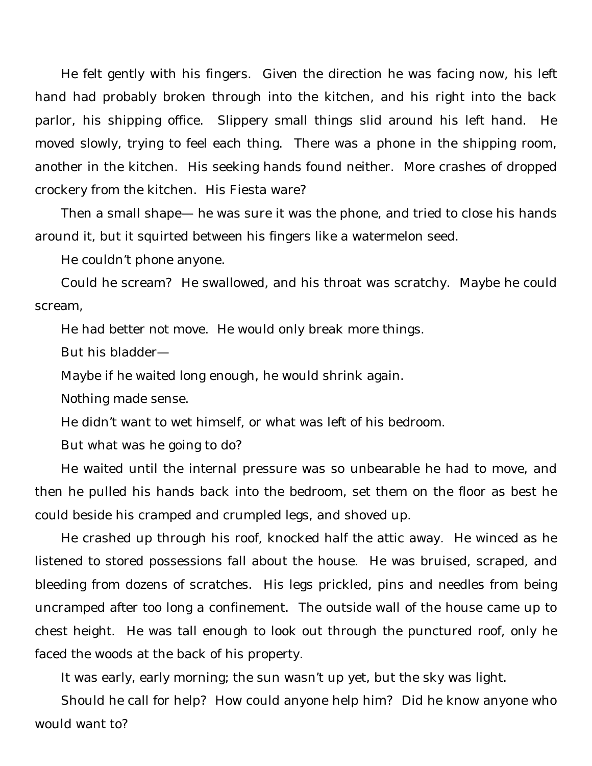He felt gently with his fingers. Given the direction he was facing now, his left hand had probably broken through into the kitchen, and his right into the back parlor, his shipping office. Slippery small things slid around his left hand. He moved slowly, trying to feel each thing. There was a phone in the shipping room, another in the kitchen. His seeking hands found neither. More crashes of dropped crockery from the kitchen. His Fiesta ware?

Then a small shape— he was sure it was the phone, and tried to close his hands around it, but it squirted between his fingers like a watermelon seed.

He couldn't phone anyone.

Could he scream? He swallowed, and his throat was scratchy. Maybe he could scream,

He had better not move. He would only break more things.

But his bladder—

Maybe if he waited long enough, he would shrink again.

Nothing made sense.

He didn't want to wet himself, or what was left of his bedroom.

But what was he going to do?

He waited until the internal pressure was so unbearable he had to move, and then he pulled his hands back into the bedroom, set them on the floor as best he could beside his cramped and crumpled legs, and shoved up.

He crashed up through his roof, knocked half the attic away. He winced as he listened to stored possessions fall about the house. He was bruised, scraped, and bleeding from dozens of scratches. His legs prickled, pins and needles from being uncramped after too long a confinement. The outside wall of the house came up to chest height. He was tall enough to look out through the punctured roof, only he faced the woods at the back of his property.

It was early, early morning; the sun wasn't up yet, but the sky was light.

Should he call for help? How could anyone help him? Did he know anyone who would want to?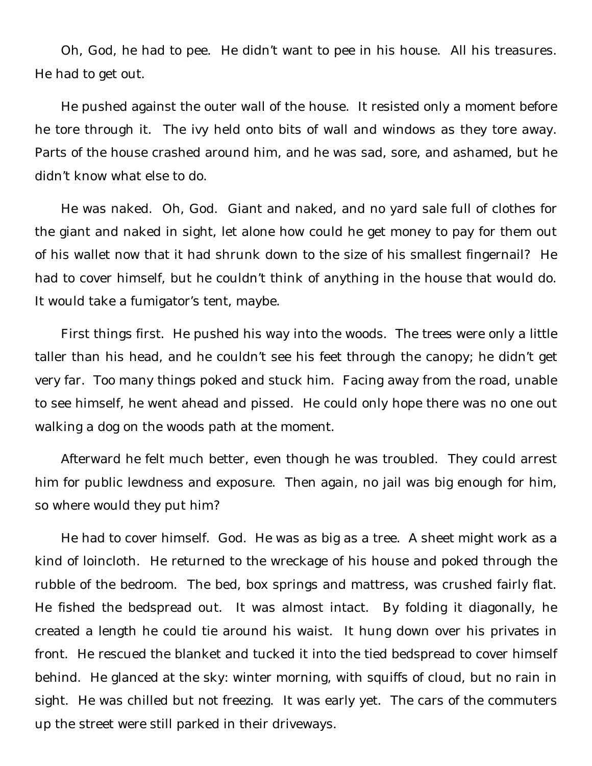Oh, God, he had to pee. He didn't want to pee in his house. All his treasures. He had to get out.

He pushed against the outer wall of the house. It resisted only a moment before he tore through it. The ivy held onto bits of wall and windows as they tore away. Parts of the house crashed around him, and he was sad, sore, and ashamed, but he didn't know what else to do.

He was naked. Oh, God. Giant and naked, and no yard sale full of clothes for the giant and naked in sight, let alone how could he get money to pay for them out of his wallet now that it had shrunk down to the size of his smallest fingernail? He had to cover himself, but he couldn't think of anything in the house that would do. It would take a fumigator's tent, maybe.

First things first. He pushed his way into the woods. The trees were only a little taller than his head, and he couldn't see his feet through the canopy; he didn't get very far. Too many things poked and stuck him. Facing away from the road, unable to see himself, he went ahead and pissed. He could only hope there was no one out walking a dog on the woods path at the moment.

Afterward he felt much better, even though he was troubled. They could arrest him for public lewdness and exposure. Then again, no jail was big enough for him, so where would they put him?

He had to cover himself. God. He was as big as a tree. A sheet might work as a kind of loincloth. He returned to the wreckage of his house and poked through the rubble of the bedroom. The bed, box springs and mattress, was crushed fairly flat. He fished the bedspread out. It was almost intact. By folding it diagonally, he created a length he could tie around his waist. It hung down over his privates in front. He rescued the blanket and tucked it into the tied bedspread to cover himself behind. He glanced at the sky: winter morning, with squiffs of cloud, but no rain in sight. He was chilled but not freezing. It was early yet. The cars of the commuters up the street were still parked in their driveways.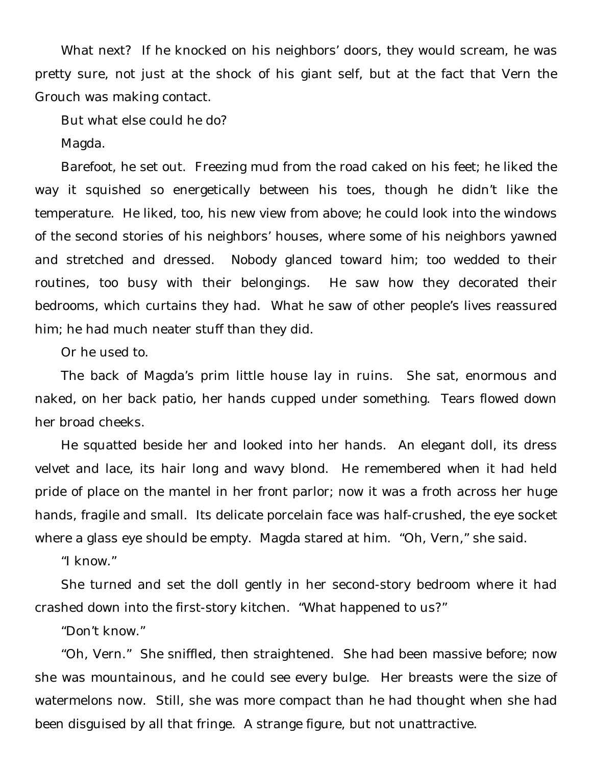What next? If he knocked on his neighbors' doors, they would scream, he was pretty sure, not just at the shock of his giant self, but at the fact that Vern the Grouch was making contact.

But what else could he do?

Magda.

Barefoot, he set out. Freezing mud from the road caked on his feet; he liked the way it squished so energetically between his toes, though he didn't like the temperature. He liked, too, his new view from above; he could look into the windows of the second stories of his neighbors' houses, where some of his neighbors yawned and stretched and dressed. Nobody glanced toward him; too wedded to their routines, too busy with their belongings. He saw how they decorated their bedrooms, which curtains they had. What he saw of other people's lives reassured him; he had much neater stuff than they did.

Or he used to.

The back of Magda's prim little house lay in ruins. She sat, enormous and naked, on her back patio, her hands cupped under something. Tears flowed down her broad cheeks.

He squatted beside her and looked into her hands. An elegant doll, its dress velvet and lace, its hair long and wavy blond. He remembered when it had held pride of place on the mantel in her front parlor; now it was a froth across her huge hands, fragile and small. Its delicate porcelain face was half-crushed, the eye socket where a glass eye should be empty. Magda stared at him. "Oh, Vern," she said.

"I know."

She turned and set the doll gently in her second-story bedroom where it had crashed down into the first-story kitchen. "What happened to us?"

"Don't know."

"Oh, Vern." She sniffled, then straightened. She had been massive before; now she was mountainous, and he could see every bulge. Her breasts were the size of watermelons now. Still, she was more compact than he had thought when she had been disguised by all that fringe. A strange figure, but not unattractive.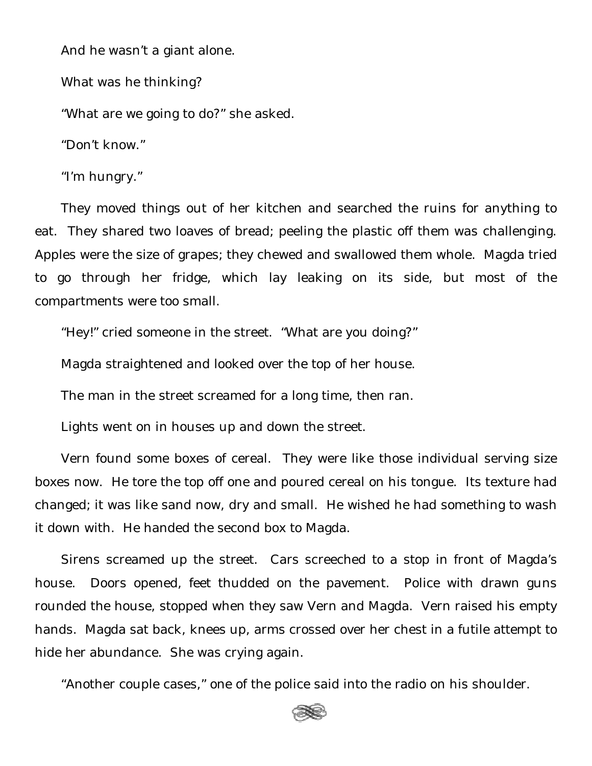And he wasn't a giant alone.

What was he thinking?

"What are we going to do?" she asked.

"Don't know."

"I'm hungry."

They moved things out of her kitchen and searched the ruins for anything to eat. They shared two loaves of bread; peeling the plastic off them was challenging. Apples were the size of grapes; they chewed and swallowed them whole. Magda tried to go through her fridge, which lay leaking on its side, but most of the compartments were too small.

"Hey!" cried someone in the street. "What are you doing?"

Magda straightened and looked over the top of her house.

The man in the street screamed for a long time, then ran.

Lights went on in houses up and down the street.

Vern found some boxes of cereal. They were like those individual serving size boxes now. He tore the top off one and poured cereal on his tongue. Its texture had changed; it was like sand now, dry and small. He wished he had something to wash it down with. He handed the second box to Magda.

Sirens screamed up the street. Cars screeched to a stop in front of Magda's house. Doors opened, feet thudded on the pavement. Police with drawn guns rounded the house, stopped when they saw Vern and Magda. Vern raised his empty hands. Magda sat back, knees up, arms crossed over her chest in a futile attempt to hide her abundance. She was crying again.

"Another couple cases," one of the police said into the radio on his shoulder.

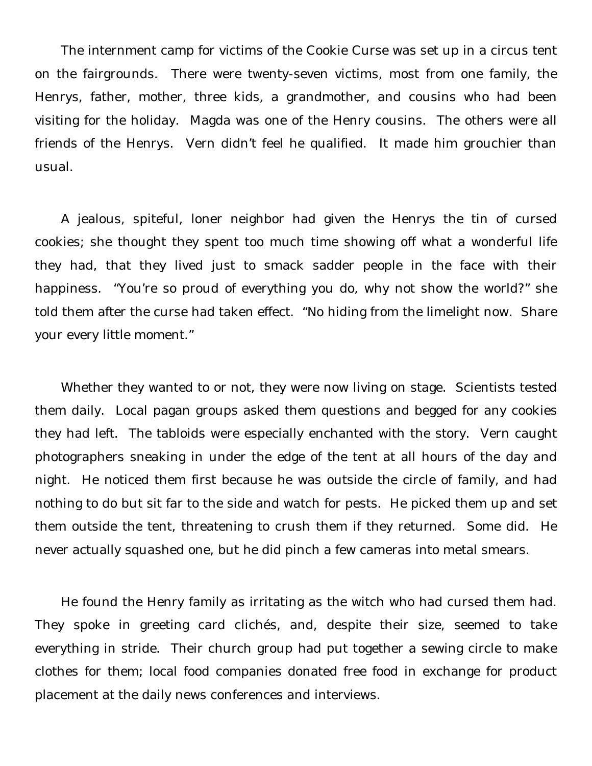The internment camp for victims of the Cookie Curse was set up in a circus tent on the fairgrounds. There were twenty-seven victims, most from one family, the Henrys, father, mother, three kids, a grandmother, and cousins who had been visiting for the holiday. Magda was one of the Henry cousins. The others were all friends of the Henrys. Vern didn't feel he qualified. It made him grouchier than usual.

A jealous, spiteful, loner neighbor had given the Henrys the tin of cursed cookies; she thought they spent too much time showing off what a wonderful life they had, that they lived just to smack sadder people in the face with their happiness. "You're so proud of everything you do, why not show the world?" she told them after the curse had taken effect. "No hiding from the limelight now. Share your every little moment."

Whether they wanted to or not, they were now living on stage. Scientists tested them daily. Local pagan groups asked them questions and begged for any cookies they had left. The tabloids were especially enchanted with the story. Vern caught photographers sneaking in under the edge of the tent at all hours of the day and night. He noticed them first because he was outside the circle of family, and had nothing to do but sit far to the side and watch for pests. He picked them up and set them outside the tent, threatening to crush them if they returned. Some did. He never actually squashed one, but he did pinch a few cameras into metal smears.

He found the Henry family as irritating as the witch who had cursed them had. They spoke in greeting card clichés, and, despite their size, seemed to take everything in stride. Their church group had put together a sewing circle to make clothes for them; local food companies donated free food in exchange for product placement at the daily news conferences and interviews.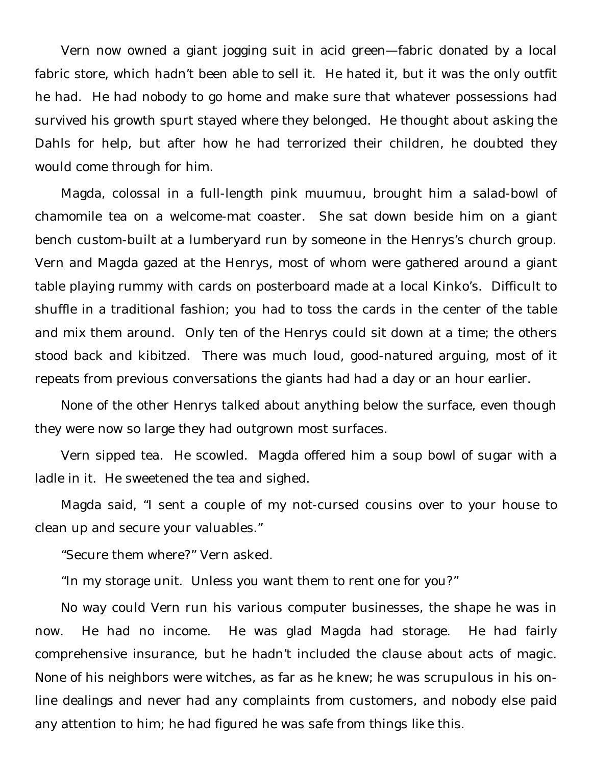Vern now owned a giant jogging suit in acid green—fabric donated by a local fabric store, which hadn't been able to sell it. He hated it, but it was the only outfit he had. He had nobody to go home and make sure that whatever possessions had survived his growth spurt stayed where they belonged. He thought about asking the Dahls for help, but after how he had terrorized their children, he doubted they would come through for him.

Magda, colossal in a full-length pink muumuu, brought him a salad-bowl of chamomile tea on a welcome-mat coaster. She sat down beside him on a giant bench custom-built at a lumberyard run by someone in the Henrys's church group. Vern and Magda gazed at the Henrys, most of whom were gathered around a giant table playing rummy with cards on posterboard made at a local Kinko's. Difficult to shuffle in a traditional fashion; you had to toss the cards in the center of the table and mix them around. Only ten of the Henrys could sit down at a time; the others stood back and kibitzed. There was much loud, good-natured arguing, most of it repeats from previous conversations the giants had had a day or an hour earlier.

None of the other Henrys talked about anything below the surface, even though they were now so large they had outgrown most surfaces.

Vern sipped tea. He scowled. Magda offered him a soup bowl of sugar with a ladle in it. He sweetened the tea and sighed.

Magda said, "I sent a couple of my not-cursed cousins over to your house to clean up and secure your valuables."

"Secure them where?" Vern asked.

"In my storage unit. Unless you want them to rent one for you?"

No way could Vern run his various computer businesses, the shape he was in now. He had no income. He was glad Magda had storage. He had fairly comprehensive insurance, but he hadn't included the clause about acts of magic. None of his neighbors were witches, as far as he knew; he was scrupulous in his online dealings and never had any complaints from customers, and nobody else paid any attention to him; he had figured he was safe from things like this.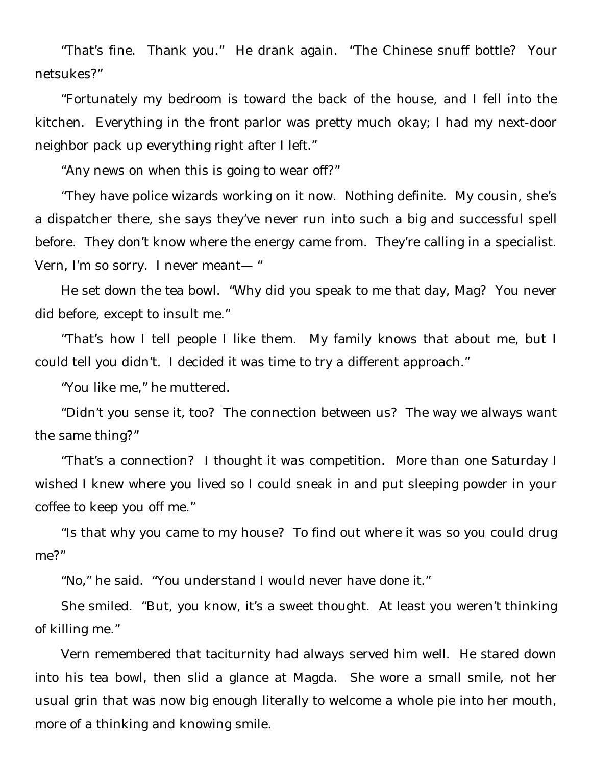"That's fine. Thank you." He drank again. "The Chinese snuff bottle? Your netsukes?"

"Fortunately my bedroom is toward the back of the house, and I fell into the kitchen. Everything in the front parlor was pretty much okay; I had my next-door neighbor pack up everything right after I left."

"Any news on when this is going to wear off?"

"They have police wizards working on it now. Nothing definite. My cousin, she's a dispatcher there, she says they've never run into such a big and successful spell before. They don't know where the energy came from. They're calling in a specialist. Vern, I'm so sorry. I never meant— "

He set down the tea bowl. "Why did you speak to me that day, Mag? You never did before, except to insult me."

"That's how I tell people I like them. My family knows that about me, but I could tell you didn't. I decided it was time to try a different approach."

"You like me," he muttered.

"Didn't you sense it, too? The connection between us? The way we always want the same thing?"

"That's a connection? I thought it was competition. More than one Saturday I wished I knew where you lived so I could sneak in and put sleeping powder in your coffee to keep you off me."

"Is that why you came to my house? To find out where it was so you could drug me?"

"No," he said. "You understand I would never have done it."

She smiled. "But, you know, it's a sweet thought. At least you weren't thinking of killing me."

Vern remembered that taciturnity had always served him well. He stared down into his tea bowl, then slid a glance at Magda. She wore a small smile, not her usual grin that was now big enough literally to welcome a whole pie into her mouth, more of a thinking and knowing smile.